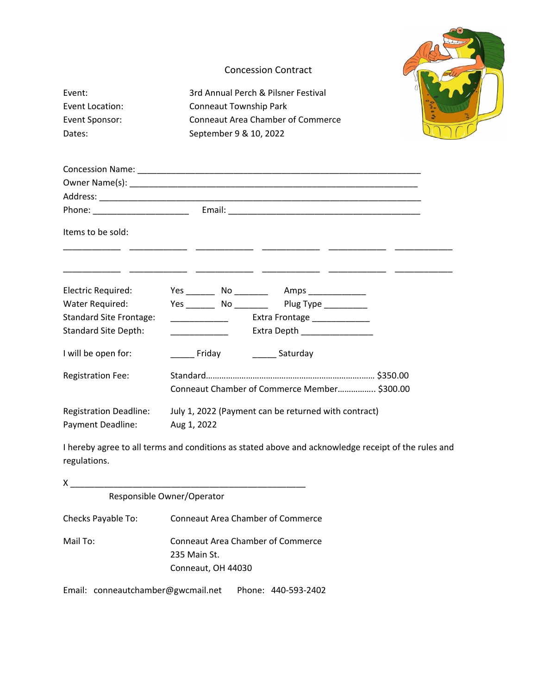# Concession Contract Event: 3rd Annual Perch & Pilsner Festival Event Location: Conneaut Township Park Event Sponsor: Conneaut Area Chamber of Commerce Dates: September 9 & 10, 2022

| Items to be sold:              |                                                                             |                                                                                                     |  |  |
|--------------------------------|-----------------------------------------------------------------------------|-----------------------------------------------------------------------------------------------------|--|--|
|                                |                                                                             |                                                                                                     |  |  |
| Electric Required:             |                                                                             |                                                                                                     |  |  |
| Water Required:                |                                                                             | Yes _________ No ___________ Plug Type ___________                                                  |  |  |
| <b>Standard Site Frontage:</b> |                                                                             | <b>Extra Frontage</b> 1947 Lettra Frontage                                                          |  |  |
| <b>Standard Site Depth:</b>    |                                                                             |                                                                                                     |  |  |
| I will be open for:            |                                                                             | Friday <b>Contract Contract Contract Contract</b> Saturday                                          |  |  |
| <b>Registration Fee:</b>       |                                                                             |                                                                                                     |  |  |
|                                |                                                                             | Conneaut Chamber of Commerce Member \$300.00                                                        |  |  |
|                                | Registration Deadline: July 1, 2022 (Payment can be returned with contract) |                                                                                                     |  |  |
| Payment Deadline: Aug 1, 2022  |                                                                             |                                                                                                     |  |  |
| regulations.                   |                                                                             | I hereby agree to all terms and conditions as stated above and acknowledge receipt of the rules and |  |  |

| x                  |                                                                         |  |  |
|--------------------|-------------------------------------------------------------------------|--|--|
|                    | Responsible Owner/Operator                                              |  |  |
| Checks Payable To: | <b>Conneaut Area Chamber of Commerce</b>                                |  |  |
| Mail To:           | Conneaut Area Chamber of Commerce<br>235 Main St.<br>Conneaut, OH 44030 |  |  |

Email: conneautchamber@gwcmail.net Phone: 440-593-2402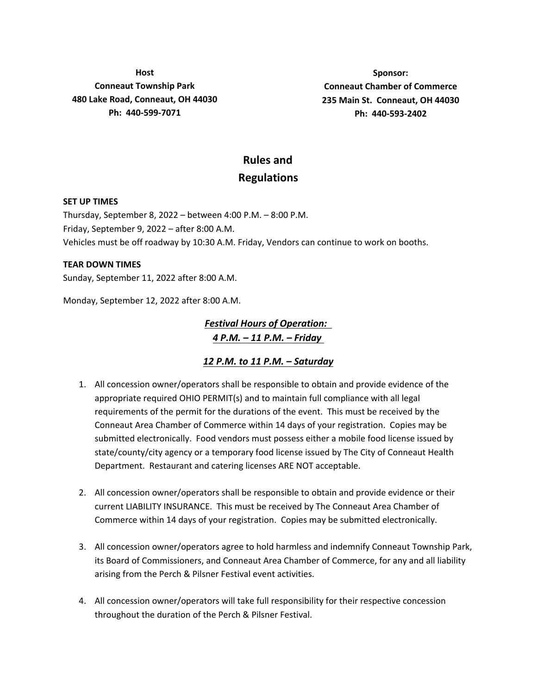**Host Conneaut Township Park 480 Lake Road, Conneaut, OH 44030 Ph: 440-599-7071**

**Sponsor: Conneaut Chamber of Commerce 235 Main St. Conneaut, OH 44030 Ph: 440-593-2402**

## **Rules and Regulations**

#### **SET UP TIMES**

Thursday, September 8, 2022 – between 4:00 P.M. – 8:00 P.M. Friday, September 9, 2022 – after 8:00 A.M. Vehicles must be off roadway by 10:30 A.M. Friday, Vendors can continue to work on booths.

#### **TEAR DOWN TIMES**

Sunday, September 11, 2022 after 8:00 A.M.

Monday, September 12, 2022 after 8:00 A.M.

*Festival Hours of Operation: 4 P.M. – 11 P.M. – Friday*

### *12 P.M. to 11 P.M. – Saturday*

- 1. All concession owner/operators shall be responsible to obtain and provide evidence of the appropriate required OHIO PERMIT(s) and to maintain full compliance with all legal requirements of the permit for the durations of the event. This must be received by the Conneaut Area Chamber of Commerce within 14 days of your registration. Copies may be submitted electronically. Food vendors must possess either a mobile food license issued by state/county/city agency or a temporary food license issued by The City of Conneaut Health Department. Restaurant and catering licenses ARE NOT acceptable.
- 2. All concession owner/operators shall be responsible to obtain and provide evidence or their current LIABILITY INSURANCE. This must be received by The Conneaut Area Chamber of Commerce within 14 days of your registration. Copies may be submitted electronically.
- 3. All concession owner/operators agree to hold harmless and indemnify Conneaut Township Park, its Board of Commissioners, and Conneaut Area Chamber of Commerce, for any and all liability arising from the Perch & Pilsner Festival event activities.
- 4. All concession owner/operators will take full responsibility for their respective concession throughout the duration of the Perch & Pilsner Festival.